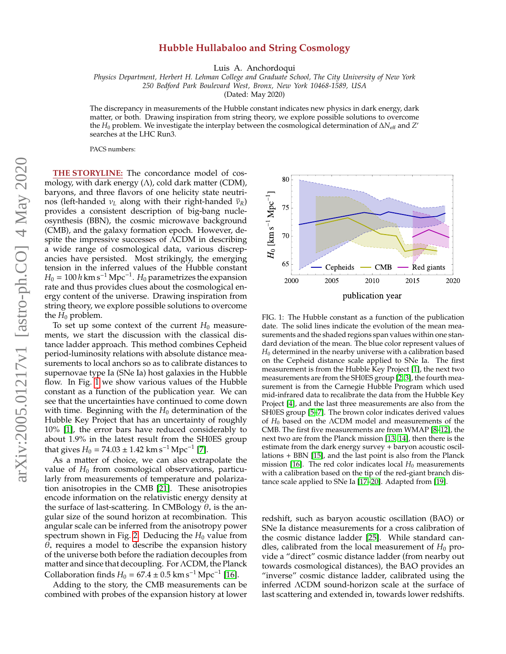## **Hubble Hullabaloo and String Cosmology**

Luis A. Anchordoqui

*Physics Department, Herbert H. Lehman College and Graduate School, The City University of New York*

*250 Bedford Park Boulevard West, Bronx, New York 10468-1589, USA*

(Dated: May 2020)

The discrepancy in measurements of the Hubble constant indicates new physics in dark energy, dark matter, or both. Drawing inspiration from string theory, we explore possible solutions to overcome the *H*<sub>0</sub> problem. We investigate the interplay between the cosmological determination of ∆N<sub>eff</sub> and *Z'* searches at the LHC Run3.

PACS numbers:

**THE STORYLINE:** The concordance model of cosmology, with dark energy  $(\Lambda)$ , cold dark matter (CDM), baryons, and three flavors of one helicity state neutrinos (left-handed  $v_L$  along with their right-handed  $\bar{v}_R$ ) provides a consistent description of big-bang nucleosynthesis (BBN), the cosmic microwave background (CMB), and the galaxy formation epoch. However, despite the impressive successes of ΛCDM in describing a wide range of cosmological data, various discrepancies have persisted. Most strikingly, the emerging tension in the inferred values of the Hubble constant  $H_0 = 100 h \text{ km s}^{-1} \text{ Mpc}^{-1}$ . *H*<sub>0</sub> parametrizes the expansion rate and thus provides clues about the cosmological energy content of the universe. Drawing inspiration from string theory, we explore possible solutions to overcome the  $H_0$  problem.

To set up some context of the current  $H_0$  measurements, we start the discussion with the classical distance ladder approach. This method combines Cepheid period-luminosity relations with absolute distance measurements to local anchors so as to calibrate distances to supernovae type Ia (SNe Ia) host galaxies in the Hubble flow. In Fig. [1](#page-0-0) we show various values of the Hubble constant as a function of the publication year. We can see that the uncertainties have continued to come down with time. Beginning with the  $H_0$  determination of the Hubble Key Project that has an uncertainty of roughly 10% [\[1\]](#page-5-0), the error bars have reduced considerably to about 1.9% in the latest result from the SH0ES group that gives  $H_0 = 74.03 \pm 1.42$  km s<sup>-1</sup> Mpc<sup>-1</sup> [\[7\]](#page-5-1).

As a matter of choice, we can also extrapolate the value of  $H_0$  from cosmological observations, particularly from measurements of temperature and polarization anisotropies in the CMB [\[21\]](#page-5-2). These anisotropies encode information on the relativistic energy density at the surface of last-scattering. In CMBology  $\theta_*$  is the angular size of the sound horizon at recombination. This angular scale can be inferred from the anisotropy power spectrum shown in Fig. [2.](#page-1-0) Deducing the  $H_0$  value from  $\theta_*$  requires a model to describe the expansion history of the universe both before the radiation decouples from matter and since that decoupling. For ΛCDM, the Planck Collaboration finds  $H_0 = 67.4 \pm 0.5$  km s<sup>-1</sup> Mpc<sup>-1</sup> [\[16\]](#page-5-3).

Adding to the story, the CMB measurements can be combined with probes of the expansion history at lower



<span id="page-0-0"></span>FIG. 1: The Hubble constant as a function of the publication date. The solid lines indicate the evolution of the mean measurements and the shaded regions span values within one standard deviation of the mean. The blue color represent values of *H*<sup>0</sup> determined in the nearby universe with a calibration based on the Cepheid distance scale applied to SNe Ia. The first measurement is from the Hubble Key Project [\[1\]](#page-5-0), the next two measurements are from the SH0ES group [\[2,](#page-5-4) [3\]](#page-5-5), the fourth measurement is from the Carnegie Hubble Program which used mid-infrared data to recalibrate the data from the Hubble Key Project [\[4\]](#page-5-6), and the last three measurements are also from the SH0ES group [\[5–](#page-5-7)[7\]](#page-5-1). The brown color indicates derived values of *H*<sup>0</sup> based on the ΛCDM model and measurements of the CMB. The first five measurements are from WMAP [\[8–](#page-5-8)[12\]](#page-5-9), the next two are from the Planck mission [\[13,](#page-5-10) [14\]](#page-5-11), then there is the estimate from the dark energy survey + baryon acoustic oscillations + BBN [\[15\]](#page-5-12), and the last point is also from the Planck mission [\[16\]](#page-5-3). The red color indicates local  $H_0$  measurements with a calibration based on the tip of the red-giant branch distance scale applied to SNe Ia [\[17–](#page-5-13)[20\]](#page-5-14). Adapted from [\[19\]](#page-5-15).

redshift, such as baryon acoustic oscillation (BAO) or SNe Ia distance measurements for a cross calibration of the cosmic distance ladder [\[25\]](#page-6-0). While standard candles, calibrated from the local measurement of  $H_0$  provide a "direct" cosmic distance ladder (from nearby out towards cosmological distances), the BAO provides an "inverse" cosmic distance ladder, calibrated using the inferred ΛCDM sound-horizon scale at the surface of last scattering and extended in, towards lower redshifts.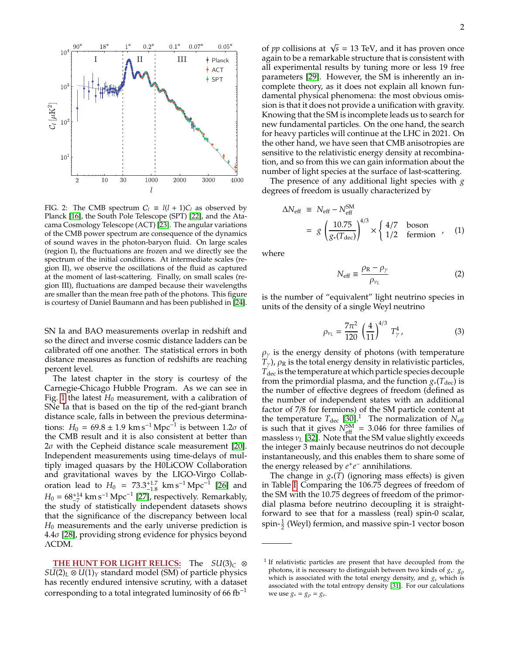

<span id="page-1-0"></span>FIG. 2: The CMB spectrum  $C_l \equiv l(l+1)C_l$  as observed by Planck [\[16\]](#page-5-3), the South Pole Telescope (SPT) [\[22\]](#page-5-16), and the Atacama Cosmology Telescope (ACT) [\[23\]](#page-6-1). The angular variations of the CMB power spectrum are consequence of the dynamics of sound waves in the photon-baryon fluid. On large scales (region I), the fluctuations are frozen and we directly see the spectrum of the initial conditions. At intermediate scales (region II), we observe the oscillations of the fluid as captured at the moment of last-scattering. Finally, on small scales (region III), fluctuations are damped because their wavelengths are smaller than the mean free path of the photons. This figure is courtesy of Daniel Baumann and has been published in [\[24\]](#page-6-2).

SN Ia and BAO measurements overlap in redshift and so the direct and inverse cosmic distance ladders can be calibrated off one another. The statistical errors in both distance measures as function of redshifts are reaching percent level.

The latest chapter in the story is courtesy of the Carnegie-Chicago Hubble Program. As we can see in Fig. [1](#page-0-0) the latest  $H_0$  measurement, with a calibration of SNe Ia that is based on the tip of the red-giant branch distance scale, falls in between the previous determinations:  $H_0 = 69.8 \pm 1.9 \text{ km s}^{-1} \text{ Mpc}^{-1}$  is between 1.2*σ* of the CMB result and it is also consistent at better than  $2\sigma$  with the Cepheid distance scale measurement [\[20\]](#page-5-14). Independent measurements using time-delays of multiply imaged quasars by the H0LiCOW Collaboration and gravitational waves by the LIGO-Virgo Collaboration lead to  $H_0 = 73.3^{+1.7}_{-1.8}$  km s<sup>-1</sup> Mpc<sup>-1</sup> [\[26\]](#page-6-3) and  $H_0 = 68^{+14}_{-7}$  km s<sup>-1</sup> Mpc<sup>-1</sup> [\[27\]](#page-6-4), respectively. Remarkably, the study of statistically independent datasets shows that the significance of the discrepancy between local *H*<sup>0</sup> measurements and the early universe prediction is  $4.4\sigma$  [\[28\]](#page-6-5), providing strong evidence for physics beyond ΛCDM.

**THE HUNT FOR LIGHT RELICS:** The  $SU(3)_C$  ⊗  $SU(2)_L \otimes U(1)_Y$  standard model (SM) of particle physics has recently endured intensive scrutiny, with a dataset corresponding to a total integrated luminosity of 66 fb<sup>-1</sup>

2

again to be a remarkable structure that is consistent with all experimental results by tuning more or less 19 free parameters [\[29\]](#page-6-6). However, the SM is inherently an incomplete theory, as it does not explain all known fundamental physical phenomena: the most obvious omission is that it does not provide a unification with gravity. Knowing that the SM is incomplete leads us to search for new fundamental particles. On the one hand, the search for heavy particles will continue at the LHC in 2021. On the other hand, we have seen that CMB anisotropies are sensitive to the relativistic energy density at recombination, and so from this we can gain information about the number of light species at the surface of last-scattering.

The presence of any additional light species with *g* degrees of freedom is usually characterized by

<span id="page-1-1"></span>
$$
\Delta N_{\text{eff}} \equiv N_{\text{eff}} - N_{\text{eff}}^{\text{SM}}
$$
  
=  $g \left( \frac{10.75}{g_*(T_{\text{dec}})} \right)^{4/3} \times \begin{cases} 4/7 & \text{boson} \\ 1/2 & \text{fermion} \end{cases}$  (1)

where

$$
N_{\rm eff} \equiv \frac{\rho_{\rm R} - \rho_{\gamma}}{\rho_{\nu_{\rm L}}} \tag{2}
$$

is the number of "equivalent" light neutrino species in units of the density of a single Weyl neutrino

$$
\rho_{\nu_L} = \frac{7\pi^2}{120} \left(\frac{4}{11}\right)^{4/3} T_{\gamma}^4,\tag{3}
$$

 $\rho_{\gamma}$  is the energy density of photons (with temperature  $T_{\gamma}$ ),  $\rho_{\rm R}$  is the total energy density in relativistic particles,  $T_{\text{dec}}$  is the temperature at which particle species decouple from the primordial plasma, and the function  $g_*(T_{\text{dec}})$  is the number of effective degrees of freedom (defined as the number of independent states with an additional factor of 7/8 for fermions) of the SM particle content at the temperature  $T_{\text{dec}}$  [\[30\]](#page-6-7).<sup>1</sup> The normalization of  $N_{\text{eff}}$ is such that it gives  $N_{\text{eff}}^{\text{SM}} = 3.046$  for three families of massless  $v_L$  [\[32\]](#page-6-8). Note that the SM value slightly exceeds the integer 3 mainly because neutrinos do not decouple instantaneously, and this enables them to share some of the energy released by  $e^+e^-$  annihilations.

The change in *g*∗(*T*) (ignoring mass effects) is given in Table [I.](#page-2-0) Comparing the 106.75 degrees of freedom of the SM with the 10.75 degrees of freedom of the primordial plasma before neutrino decoupling it is straightforward to see that for a massless (real) spin-0 scalar,  $\operatorname{spin-}\frac{1}{2}$  (Weyl) fermion, and massive spin-1 vector boson

<sup>&</sup>lt;sup>1</sup> If relativistic particles are present that have decoupled from the photons, it is necessary to distinguish between two kinds of *g*∗ : *g*<sup>ρ</sup> which is associated with the total energy density, and *g<sup>s</sup>* which is associated with the total entropy density [\[31\]](#page-6-9). For our calculations we use  $g_* = g_\rho = g_s$ .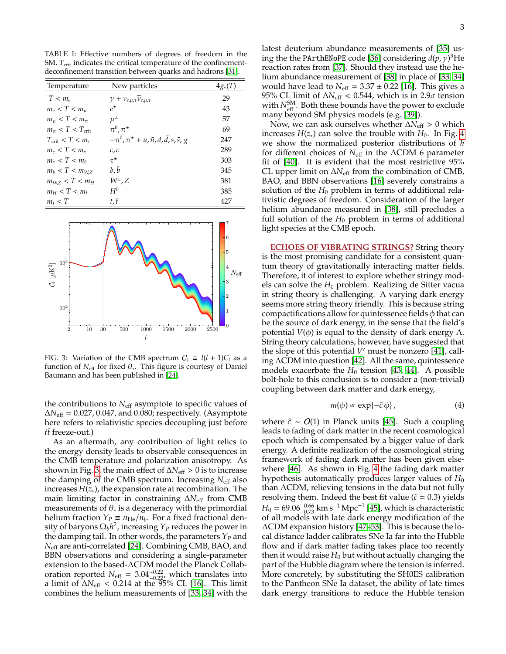<span id="page-2-0"></span>TABLE I: Effective numbers of degrees of freedom in the SM. *T*<sub>crit</sub> indicates the critical temperature of the confinementdeconfinement transition between quarks and hadrons [\[31\]](#page-6-9).

| Temperature                   | New particles                                           | $4g_*(T)$ |
|-------------------------------|---------------------------------------------------------|-----------|
| $T < m_e$                     | $\gamma + \nu_{e,\mu,\tau} \overline{\nu}_{e,\mu,\tau}$ | 29        |
| $m_e < T < m_u$               | $e^{\pm}$                                               | 43        |
| $m_{\mu} < T < m_{\pi}$       | $\mu^{\pm}$                                             | 57        |
| $m_{\tau} < T < T_{\rm crit}$ | $\pi^0$ , $\pi^{\pm}$                                   | 69        |
| $T_{\rm crit} < T < m_c$      | $-\pi^0$ , $\pi^{\pm}$ + u, ū, d, d, s, $\bar{s}$ , g   | 247       |
| $m_c < T < m_\tau$            | $c, \bar{c}$                                            | 289       |
| $m_{\tau} < T < m_b$          | $\tau^{\pm}$                                            | 303       |
| $m_h < T < m_{WZ}$            | $b, \bar{b}$                                            | 345       |
| $m_{WZ}$ < T < $m_H$          | $W^{\pm}$ , Z                                           | 381       |
| $m_H < T < m_t$               | $H^0$                                                   | 385       |
| $m_t < T$                     | $t, \bar{t}$                                            | 427       |



<span id="page-2-1"></span>FIG. 3: Variation of the CMB spectrum  $C_l \equiv l(l+1)C_l$  as a function of *N*eff for fixed θ<sup>∗</sup> . This figure is courtesy of Daniel Baumann and has been published in [\[24\]](#page-6-2).

the contributions to *N*<sub>eff</sub> asymptote to specific values of ∆*N*eff = 0.027, 0.047, and 0.080; respectively. (Asymptote here refers to relativistic species decoupling just before *t* ¯*t* freeze-out.)

As an aftermath, any contribution of light relics to the energy density leads to observable consequences in the CMB temperature and polarization anisotropy. As shown in Fig. [3,](#page-2-1) the main effect of  $\Delta N_{\text{eff}} > 0$  is to increase the damping of the CMB spectrum. Increasing *N*eff also increases *H*(*z*∗), the expansion rate at recombination. The main limiting factor in constraining  $ΔN_{eff}$  from CMB measurements of  $\theta_*$  is a degeneracy with the primordial helium fraction  $Y_P \equiv n_{\text{He}}/n_b$ . For a fixed fractional den- $\sup$  of baryons  $\Omega_b h^2$ , increasing  $Y_P$  reduces the power in the damping tail. In other words, the parameters  $Y_P$  and *N*eff are anti-correlated [\[24\]](#page-6-2). Combining CMB, BAO, and BBN observations and considering a single-parameter extension to the based-ΛCDM model the Planck Collaboration reported  $N_{\text{eff}} = 3.04_{-0.22}^{+0.22}$ , which translates into a limit of  $\Delta N_{\text{eff}}$  < 0.214 at the 95% CL [\[16\]](#page-5-3). This limit combines the helium measurements of [\[33,](#page-6-10) [34\]](#page-6-11) with the

latest deuterium abundance measurements of [\[35\]](#page-6-12) using the the PArthENoPE code [\[36\]](#page-6-13) considering *d*(*p*, γ) <sup>3</sup>He reaction rates from [\[37\]](#page-6-14). Should they instead use the helium abundance measurement of [\[38\]](#page-6-15) in place of [\[33,](#page-6-10) [34\]](#page-6-11) would have lead to  $N_{\text{eff}} = 3.37 \pm 0.22$  [\[16\]](#page-5-3). This gives a 95% CL limit of  $\Delta N_{\text{eff}}$  < 0.544, which is in 2.9 $\sigma$  tension with  $N_{\text{eff}}^{\text{SM}}$ . Both these bounds have the power to exclude many beyond SM physics models (e.g. [\[39\]](#page-6-16)).

Now, we can ask ourselves whether ΔN<sub>eff</sub> > 0 which increases  $H(z_*)$  can solve the trouble with  $H_0$ . In Fig. [4](#page-3-0) we show the normalized posterior distributions of *h* for different choices of *N*eff in the ΛCDM 6 parameter fit of [\[40\]](#page-6-17). It is evident that the most restrictive 95% CL upper limit on ∆*N*eff from the combination of CMB, BAO, and BBN observations [\[16\]](#page-5-3) severely constrains a solution of the  $H_0$  problem in terms of additional relativistic degrees of freedom. Consideration of the larger helium abundance measured in [\[38\]](#page-6-15), still precludes a full solution of the  $H_0$  problem in terms of additional light species at the CMB epoch.

**ECHOES OF VIBRATING STRINGS?** String theory is the most promising candidate for a consistent quantum theory of gravitationally interacting matter fields. Therefore, it of interest to explore whether stringy models can solve the  $H_0$  problem. Realizing de Sitter vacua in string theory is challenging. A varying dark energy seems more string theory friendly. This is because string compactifications allow for quintessence fields  $\phi$  that can be the source of dark energy, in the sense that the field's potential  $V$ ( $\phi$ ) is equal to the density of dark energy Λ. String theory calculations, however, have suggested that the slope of this potential  $V'$  must be nonzero [\[41\]](#page-6-18), calling ΛCDM into question [\[42\]](#page-6-19). All the same, quintessence models exacerbate the  $H_0$  tension [\[43,](#page-6-20) [44\]](#page-6-21). A possible bolt-hole to this conclusion is to consider a (non-trivial) coupling between dark matter and dark energy,

$$
m(\phi) \propto \exp\{-\tilde{c}\,\phi\},\tag{4}
$$

where  $\tilde{c}$  ∼  $O(1)$  in Planck units [\[45\]](#page-6-22). Such a coupling leads to fading of dark matter in the recent cosmological epoch which is compensated by a bigger value of dark energy. A definite realization of the cosmological string framework of fading dark matter has been given elsewhere [\[46\]](#page-6-23). As shown in Fig. [4](#page-3-0) the fading dark matter hypothesis automatically produces larger values of *H*<sup>0</sup> than ΛCDM, relieving tensions in the data but not fully resolving them. Indeed the best fit value ( $\tilde{c}$  = 0.3) yields  $H_0 = 69.06_{-0.73}^{+0.66}$  km s<sup>-1</sup> Mpc<sup>-1</sup> [\[45\]](#page-6-22), which is characteristic of all models with late dark energy modification of the ΛCDM expansion history [\[47](#page-6-24)[–53\]](#page-6-25). This is because the local distance ladder calibrates SNe Ia far into the Hubble flow and if dark matter fading takes place too recently then it would raise  $H_0$  but without actually changing the part of the Hubble diagram where the tension is inferred. More concretely, by substituting the SH0ES calibration to the Pantheon SNe Ia dataset, the ability of late times dark energy transitions to reduce the Hubble tension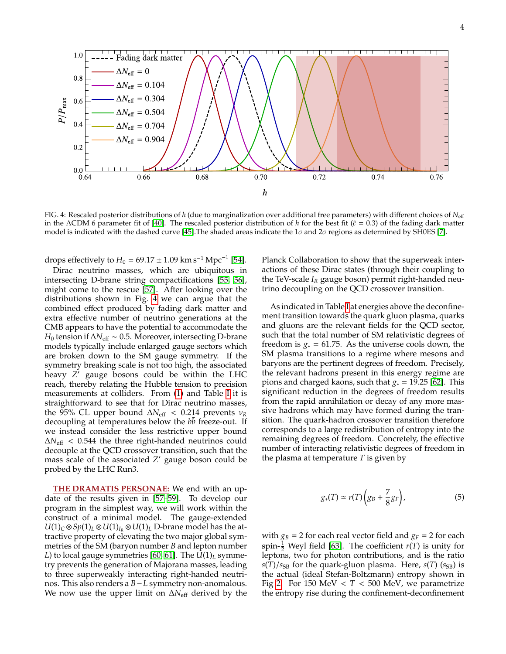

<span id="page-3-0"></span>FIG. 4: Rescaled posterior distributions of *h* (due to marginalization over additional free parameters) with different choices of *N*eff in the ΛCDM 6 parameter fit of [\[40\]](#page-6-17). The rescaled posterior distribution of *h* for the best fit ( $\tilde{c}$  = 0.3) of the fading dark matter model is indicated with the dashed curve [\[45\]](#page-6-22). The shaded areas indicate the 1 $\sigma$  and 2 $\sigma$  regions as determined by SH0ES [\[7\]](#page-5-1).

drops effectively to  $H_0 = 69.17 \pm 1.09$  km s<sup>-1</sup> Mpc<sup>-1</sup> [\[54\]](#page-6-26).

Dirac neutrino masses, which are ubiquitous in intersecting D-brane string compactifications [\[55,](#page-7-0) [56\]](#page-7-1), might come to the rescue [\[57\]](#page-7-2). After looking over the distributions shown in Fig. [4](#page-3-0) we can argue that the combined effect produced by fading dark matter and extra effective number of neutrino generations at the CMB appears to have the potential to accommodate the *H*<sub>0</sub> tension if ∆*N*<sub>eff</sub> ~ 0.5. Moreover, intersecting D-brane models typically include enlarged gauge sectors which are broken down to the SM gauge symmetry. If the symmetry breaking scale is not too high, the associated heavy *Z* <sup>0</sup> gauge bosons could be within the LHC reach, thereby relating the Hubble tension to precision measurements at colliders. From [\(1\)](#page-1-1) and Table [I](#page-2-0) it is straightforward to see that for Dirac neutrino masses, the 95% CL upper bound  $\Delta N_{\text{eff}}$  < 0.214 prevents  $v_R$ decoupling at temperatures below the *bb* freeze-out. If we instead consider the less restrictive upper bound  $\Delta N_{\text{eff}}$  < 0.544 the three right-handed neutrinos could decouple at the QCD crossover transition, such that the mass scale of the associated *Z'* gauge boson could be probed by the LHC Run3.

**THE DRAMATIS PERSONAE:** We end with an update of the results given in [\[57](#page-7-2)[–59\]](#page-7-3). To develop our program in the simplest way, we will work within the construct of a minimal model. The gauge-extended *U*(1)*<sub>C</sub>* ⊗ *Sp*(1)<sub>*L*</sub> ⊗ *U*(1)<sub>*I<sub>R</sub>* ⊗ *U*(1)<sub>*L*</sub> D-brane model has the at-</sub> tractive property of elevating the two major global symmetries of the SM (baryon number *B* and lepton number *L*) to local gauge symmetries [\[60,](#page-7-4) [61\]](#page-7-5). The  $U(1)_L$  symmetry prevents the generation of Majorana masses, leading to three superweakly interacting right-handed neutrinos. This also renders a *B*−*L* symmetry non-anomalous. We now use the upper limit on ∆*N*<sub>eff</sub> derived by the Planck Collaboration to show that the superweak interactions of these Dirac states (through their coupling to the TeV-scale *I<sup>R</sup>* gauge boson) permit right-handed neutrino decoupling on the QCD crossover transition.

As indicated in Table [I](#page-2-0) at energies above the deconfinement transition towards the quark gluon plasma, quarks and gluons are the relevant fields for the QCD sector, such that the total number of SM relativistic degrees of freedom is  $g_* = 61.75$ . As the universe cools down, the SM plasma transitions to a regime where mesons and baryons are the pertinent degrees of freedom. Precisely, the relevant hadrons present in this energy regime are pions and charged kaons, such that *g*<sup>∗</sup> = 19.25 [\[62\]](#page-7-6). This significant reduction in the degrees of freedom results from the rapid annihilation or decay of any more massive hadrons which may have formed during the transition. The quark-hadron crossover transition therefore corresponds to a large redistribution of entropy into the remaining degrees of freedom. Concretely, the effective number of interacting relativistic degrees of freedom in the plasma at temperature *T* is given by

$$
g_*(T) \simeq r(T) \left( g_B + \frac{7}{8} g_F \right), \tag{5}
$$

with  $g_B = 2$  for each real vector field and  $g_F = 2$  for each spin- $\frac{1}{2}$  Weyl field [\[63\]](#page-7-7). The coefficient *r*(*T*) is unity for leptons, two for photon contributions, and is the ratio  $s(T)/s_{SB}$  for the quark-gluon plasma. Here,  $s(T)$  ( $s_{SB}$ ) is the actual (ideal Stefan-Boltzmann) entropy shown in Fig [2.](#page-1-0) For 150 MeV  $< T < 500$  MeV, we parametrize the entropy rise during the confinement-deconfinement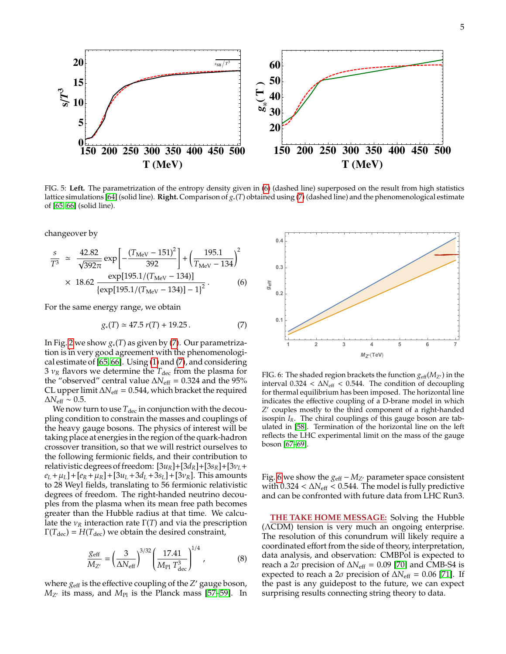

FIG. 5: **Left.** The parametrization of the entropy density given in [\(6\)](#page-4-0) (dashed line) superposed on the result from high statistics lattice simulations [\[64\]](#page-7-8) (solid line). **Right.** Comparison of *g*∗(*T*) obtained using [\(7\)](#page-4-1) (dashed line) and the phenomenological estimate of [\[65,](#page-7-9) [66\]](#page-7-10) (solid line).

changeover by

<span id="page-4-0"></span>
$$
\frac{s}{T^3} \approx \frac{42.82}{\sqrt{392\pi}} \exp\left[-\frac{(T_{\text{MeV}} - 151)^2}{392}\right] + \left(\frac{195.1}{T_{\text{MeV}} - 134}\right)^2
$$
  
× 18.62  $\frac{\exp[195.1/(T_{\text{MeV}} - 134)]}{\left\{\exp[195.1/(T_{\text{MeV}} - 134)] - 1\right\}^2}$ . (6)

For the same energy range, we obtain

<span id="page-4-1"></span>
$$
g_*(T) \simeq 47.5 \, r(T) + 19.25 \,. \tag{7}
$$

In Fig. [2](#page-1-0) we show *g*∗(*T*) as given by [\(7\)](#page-4-1). Our parametrization is in very good agreement with the phenomenological estimate of [\[65,](#page-7-9) [66\]](#page-7-10). Using [\(1\)](#page-1-1) and [\(7\)](#page-4-1), and considering 3  $v_R$  flavors we determine the  $T_{\text{dec}}$  from the plasma for the "observed" central value  $\Delta N_{\text{eff}} = 0.324$  and the 95% CL upper limit ∆*N*eff = 0.544, which bracket the required ∆*N*eff ∼ 0.5.

We now turn to use  $T_{\text{dec}}$  in conjunction with the decoupling condition to constrain the masses and couplings of the heavy gauge bosons. The physics of interest will be taking place at energies in the region of the quark-hadron crossover transition, so that we will restrict ourselves to the following fermionic fields, and their contribution to relativistic degrees of freedom:  $[3u_R]+[3d_R]+[3s_R]+[3v_L+$  $e_L + \mu_L$ ] +  $[e_R + \mu_R]$  +  $[3\mu_L + 3d_L + 3s_L]$  +  $[3\nu_R]$ . This amounts to 28 Weyl fields, translating to 56 fermionic relativistic degrees of freedom. The right-handed neutrino decouples from the plasma when its mean free path becomes greater than the Hubble radius at that time. We calculate the  $\nu_R$  interaction rate  $\Gamma(T)$  and via the prescription  $\Gamma(T_{\text{dec}}) = H(T_{\text{dec}})$  we obtain the desired constraint, *M***z** *M* and *M* is the first  $\frac{3}{2}$  is the Mondal String (1), our parameterization of (55,66). Using (1) and Q/0, and considerably in the planck mass [\[57](#page-7-2)[–59\]](#page-7-3). In the Planck mass [57–59]. In the Planck mass [57–5

$$
\frac{g_{\text{eff}}}{M_{Z'}} = \left(\frac{3}{\Delta N_{\text{eff}}}\right)^{3/32} \left(\frac{17.41}{M_{\text{Pl}} T_{\text{dec}}^3}\right)^{1/4},\tag{8}
$$

where  $g_{\text{eff}}$  is the effective coupling of the *Z'* gauge boson,



<span id="page-4-2"></span>FIG. 6: The shaded region brackets the function  $g_{\text{eff}}(M_{Z})$  in the interval 0.324 < ∆*N*eff < 0.544. The condition of decoupling for thermal equilibrium has been imposed. The horizontal line indicates the effective coupling of a D-brane model in which Z' couples mostly to the third component of a right-handed isospin  $I_R$ . The chiral couplings of this gauge boson are tabulated in [\[58\]](#page-7-11). Termination of the horizontal line on the left reflects the LHC experimental limit on the mass of the gauge boson [\[67](#page-7-12)[–69\]](#page-7-13).

Fig. [6](#page-4-2) we show the  $g_{\text{eff}}$  −  $M_{Z}$ <sup>0</sup> parameter space consistent with  $0.324 < \Delta N_{\text{eff}} < 0.544$ . The model is fully predictive and can be confronted with future data from LHC Run3.

**THE TAKE HOME MESSAGE:** Solving the Hubble (ΛCDM) tension is very much an ongoing enterprise. The resolution of this conundrum will likely require a coordinated effort from the side of theory, interpretation, data analysis, and observation: CMBPol is expected to reach a 2 $\sigma$  precision of  $\Delta N_{\text{eff}}$  = 0.09 [\[70\]](#page-7-14) and CMB-S4 is expected to reach a  $2\sigma$  precision of  $\Delta N_{\text{eff}} = 0.06$  [\[71\]](#page-7-15). If the past is any guidepost to the future, we can expect surprising results connecting string theory to data.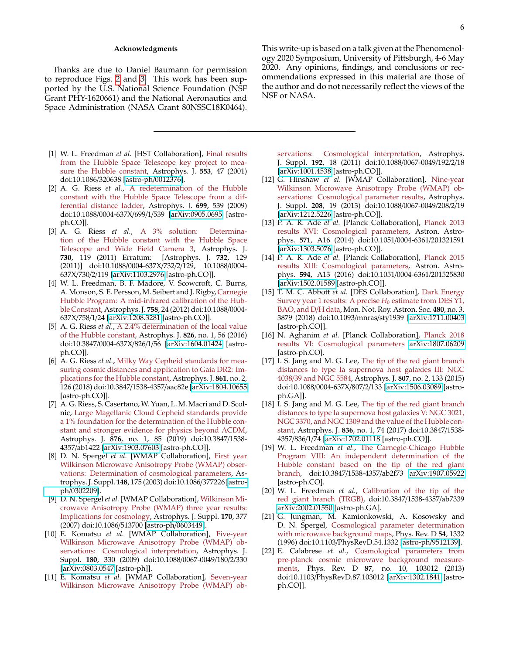## **Acknowledgments**

Thanks are due to Daniel Baumann for permission to reproduce Figs. [2](#page-1-0) and [3.](#page-2-1) This work has been supported by the U.S. National Science Foundation (NSF Grant PHY-1620661) and the National Aeronautics and Space Administration (NASA Grant 80NSSC18K0464).

- <span id="page-5-0"></span>[1] W. L. Freedman *et al.* [HST Collaboration], Final results from the Hubble Space Telescope key project to measure the Hubble constant, Astrophys. J. **553**, 47 (2001) doi:10.1086/320638 [\[astro-ph](http://arxiv.org/abs/astro-ph/0012376)/0012376].
- <span id="page-5-4"></span>[2] A. G. Riess *et al.*, A redetermination of the Hubble constant with the Hubble Space Telescope from a differential distance ladder, Astrophys. J. **699**, 539 (2009) doi:10.1088/0004-637X/699/1/539 [\[arXiv:0905.0695](http://arxiv.org/abs/0905.0695) [astroph.CO]].
- <span id="page-5-5"></span>[3] A. G. Riess *et al.*, A 3% solution: Determination of the Hubble constant with the Hubble Space Telescope and Wide Field Camera 3, Astrophys. J. **730**, 119 (2011) Erratum: [Astrophys. J. **732**, 129 (2011)] doi:10.1088/0004-637X/732/2/129, 10.1088/0004- 637X/730/2/119 [\[arXiv:1103.2976](http://arxiv.org/abs/1103.2976) [astro-ph.CO]].
- <span id="page-5-6"></span>[4] W. L. Freedman, B. F. Madore, V. Scowcroft, C. Burns, A. Monson, S. E. Persson, M. Seibert and J. Rigby, Carnegie Hubble Program: A mid-infrared calibration of the Hubble Constant, Astrophys. J. **758**, 24 (2012) doi:10.1088/0004- 637X/758/1/24 [\[arXiv:1208.3281](http://arxiv.org/abs/1208.3281) [astro-ph.CO]].
- <span id="page-5-7"></span>[5] A. G. Riess *et al.*, A 2.4% determination of the local value of the Hubble constant, Astrophys. J. **826**, no. 1, 56 (2016) doi:10.3847/0004-637X/826/1/56 [\[arXiv:1604.01424](http://arxiv.org/abs/1604.01424) [astroph.CO]].
- [6] A. G. Riess *et al.*, Milky Way Cepheid standards for measuring cosmic distances and application to Gaia DR2: Implications for the Hubble constant, Astrophys. J. **861**, no. 2, 126 (2018) doi:10.3847/1538-4357/aac82e [\[arXiv:1804.10655](http://arxiv.org/abs/1804.10655) [astro-ph.CO]].
- <span id="page-5-1"></span>[7] A. G. Riess, S. Casertano, W. Yuan, L. M. Macri and D. Scolnic, Large Magellanic Cloud Cepheid standards provide a 1% foundation for the determination of the Hubble constant and stronger evidence for physics beyond ΛCDM, Astrophys. J. **876**, no. 1, 85 (2019) doi:10.3847/1538- 4357/ab1422 [\[arXiv:1903.07603](http://arxiv.org/abs/1903.07603) [astro-ph.CO]].
- <span id="page-5-8"></span>[8] D. N. Spergel *et al.* [WMAP Collaboration], First year Wilkinson Microwave Anisotropy Probe (WMAP) observations: Determination of cosmological parameters, Astrophys. J. Suppl. **148**, 175 (2003) doi:10.1086/377226 [\[astro](http://arxiv.org/abs/astro-ph/0302209)ph/[0302209\]](http://arxiv.org/abs/astro-ph/0302209).
- [9] D. N. Spergel *et al.* [WMAP Collaboration], Wilkinson Microwave Anisotropy Probe (WMAP) three year results: Implications for cosmology, Astrophys. J. Suppl. **170**, 377 (2007) doi:10.1086/513700 [\[astro-ph](http://arxiv.org/abs/astro-ph/0603449)/0603449].
- [10] E. Komatsu *et al.* [WMAP Collaboration], Five-year Wilkinson Microwave Anisotropy Probe (WMAP) observations: Cosmological interpretation, Astrophys. J. Suppl. **180**, 330 (2009) doi:10.1088/0067-0049/180/2/330 [\[arXiv:0803.0547](http://arxiv.org/abs/0803.0547) [astro-ph]].
- [11] E. Komatsu *et al.* [WMAP Collaboration], Seven-year Wilkinson Microwave Anisotropy Probe (WMAP) ob-

This write-up is based on a talk given at the Phenomenology 2020 Symposium, University of Pittsburgh, 4-6 May 2020. Any opinions, findings, and conclusions or recommendations expressed in this material are those of the author and do not necessarily reflect the views of the NSF or NASA.

servations: Cosmological interpretation, Astrophys. J. Suppl. **192**, 18 (2011) doi:10.1088/0067-0049/192/2/18 [\[arXiv:1001.4538](http://arxiv.org/abs/1001.4538) [astro-ph.CO]].

- <span id="page-5-9"></span>[12] G. Hinshaw *et al.* [WMAP Collaboration], Nine-year Wilkinson Microwave Anisotropy Probe (WMAP) observations: Cosmological parameter results, Astrophys. J. Suppl. **208**, 19 (2013) doi:10.1088/0067-0049/208/2/19 [\[arXiv:1212.5226](http://arxiv.org/abs/1212.5226) [astro-ph.CO]].
- <span id="page-5-10"></span>[13] P. A. R. Ade *et al.* [Planck Collaboration], Planck 2013 results XVI: Cosmological parameters, Astron. Astrophys. **571**, A16 (2014) doi:10.1051/0004-6361/201321591 [\[arXiv:1303.5076](http://arxiv.org/abs/1303.5076) [astro-ph.CO]].
- <span id="page-5-11"></span>[14] P. A. R. Ade *et al.* [Planck Collaboration], Planck 2015 results XIII: Cosmological parameters, Astron. Astrophys. **594**, A13 (2016) doi:10.1051/0004-6361/201525830 [\[arXiv:1502.01589](http://arxiv.org/abs/1502.01589) [astro-ph.CO]].
- <span id="page-5-12"></span>[15] T. M. C. Abbott *et al.* [DES Collaboration], Dark Energy Survey year 1 results: A precise  $H_0$  estimate from DES Y1, BAO, and D/H data, Mon. Not. Roy. Astron. Soc. **480**, no. 3, 3879 (2018) doi:10.1093/mnras/sty1939 [\[arXiv:1711.00403](http://arxiv.org/abs/1711.00403) [astro-ph.CO]].
- <span id="page-5-3"></span>[16] N. Aghanim *et al.* [Planck Collaboration], Planck 2018 results VI: Cosmological parameters [arXiv:1807.06209](http://arxiv.org/abs/1807.06209) [astro-ph.CO].
- <span id="page-5-13"></span>[17] I. S. Jang and M. G. Lee, The tip of the red giant branch distances to type Ia supernova host galaxies III: NGC 4038/39 and NGC 5584, Astrophys. J. **807**, no. 2, 133 (2015) doi:10.1088/0004-637X/807/2/133 [\[arXiv:1506.03089](http://arxiv.org/abs/1506.03089) [astroph.GA]].
- [18] I. S. Jang and M. G. Lee, The tip of the red giant branch distances to type Ia supernova host galaxies V: NGC 3021, NGC 3370, and NGC 1309 and the value of the Hubble constant, Astrophys. J. **836**, no. 1, 74 (2017) doi:10.3847/1538- 4357/836/1/74 [\[arXiv:1702.01118](http://arxiv.org/abs/1702.01118) [astro-ph.CO]].
- <span id="page-5-15"></span>[19] W. L. Freedman *et al.*, The Carnegie-Chicago Hubble Program VIII: An independent determination of the Hubble constant based on the tip of the red giant branch, doi:10.3847/1538-4357/ab2f73 [arXiv:1907.05922](http://arxiv.org/abs/1907.05922) [astro-ph.CO].
- <span id="page-5-14"></span>[20] W. L. Freedman *et al.*, Calibration of the tip of the red giant branch (TRGB), doi:10.3847/1538-4357/ab7339 [arXiv:2002.01550](http://arxiv.org/abs/2002.01550) [astro-ph.GA].
- <span id="page-5-2"></span>[21] G. Jungman, M. Kamionkowski, A. Kosowsky and D. N. Spergel, Cosmological parameter determination with microwave background maps, Phys. Rev. D **54**, 1332 (1996) doi:10.1103/PhysRevD.54.1332 [\[astro-ph](http://arxiv.org/abs/astro-ph/9512139)/9512139].
- <span id="page-5-16"></span>[22] E. Calabrese *et al.*, Cosmological parameters from pre-planck cosmic microwave background measurements, Phys. Rev. D **87**, no. 10, 103012 (2013) doi:10.1103/PhysRevD.87.103012 [\[arXiv:1302.1841](http://arxiv.org/abs/1302.1841) [astroph.CO]].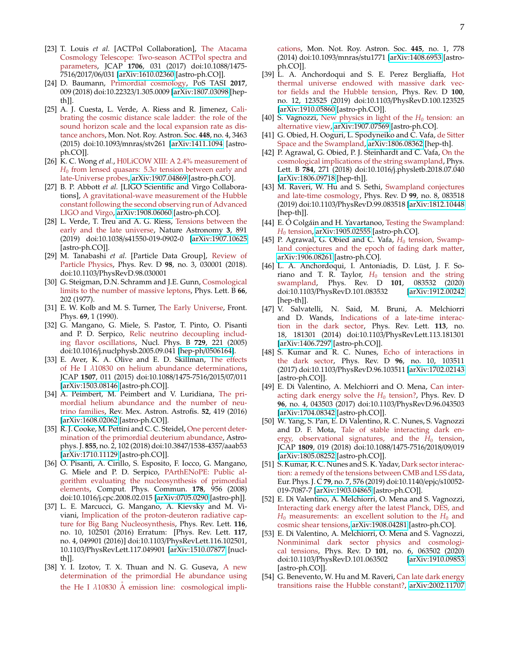- <span id="page-6-1"></span>[23] T. Louis *et al.* [ACTPol Collaboration], The Atacama Cosmology Telescope: Two-season ACTPol spectra and parameters, JCAP **1706**, 031 (2017) doi:10.1088/1475- 7516/2017/06/031 [\[arXiv:1610.02360](http://arxiv.org/abs/1610.02360) [astro-ph.CO]].
- <span id="page-6-2"></span>[24] D. Baumann, Primordial cosmology, PoS TASI **2017**, 009 (2018) doi:10.22323/1.305.0009 [\[arXiv:1807.03098](http://arxiv.org/abs/1807.03098) [hepth<sub>II</sub>.
- <span id="page-6-0"></span>[25] A. J. Cuesta, L. Verde, A. Riess and R. Jimenez, Calibrating the cosmic distance scale ladder: the role of the sound horizon scale and the local expansion rate as distance anchors, Mon. Not. Roy. Astron. Soc. **448**, no. 4, 3463 (2015) doi:10.1093/mnras/stv261 [\[arXiv:1411.1094](http://arxiv.org/abs/1411.1094) [astroph.CO]].
- <span id="page-6-3"></span>[26] K. C. Wong *et al.*, H0LiCOW XIII: A 2.4% measurement of  $H<sub>0</sub>$  from lensed quasars: 5.3*σ* tension between early and late-Universe probes, [arXiv:1907.04869](http://arxiv.org/abs/1907.04869) [astro-ph.CO].
- <span id="page-6-4"></span>[27] B. P. Abbott *et al.* [LIGO Scientific and Virgo Collaborations], A gravitational-wave measurement of the Hubble constant following the second observing run of Advanced LIGO and Virgo, [arXiv:1908.06060](http://arxiv.org/abs/1908.06060) [astro-ph.CO].
- <span id="page-6-5"></span>[28] L. Verde, T. Treu and A. G. Riess, Tensions between the early and the late universe, Nature Astronomy **3**, 891 (2019) doi:10.1038/s41550-019-0902-0 [\[arXiv:1907.10625](http://arxiv.org/abs/1907.10625) [astro-ph.CO]].
- <span id="page-6-6"></span>[29] M. Tanabashi *et al.* [Particle Data Group], Review of Particle Physics, Phys. Rev. D **98**, no. 3, 030001 (2018). doi:10.1103/PhysRevD.98.030001
- <span id="page-6-7"></span>[30] G. Steigman, D.N. Schramm and J.E. Gunn, Cosmological limits to the number of massive leptons, Phys. Lett. B **66**, 202 (1977).
- <span id="page-6-9"></span>[31] E. W. Kolb and M. S. Turner, The Early Universe, Front. Phys. **69**, 1 (1990).
- <span id="page-6-8"></span>[32] G. Mangano, G. Miele, S. Pastor, T. Pinto, O. Pisanti and P. D. Serpico, Relic neutrino decoupling including flavor oscillations, Nucl. Phys. B **729**, 221 (2005) doi:10.1016/j.nuclphysb.2005.09.041 [hep-ph/[0506164\]](http://arxiv.org/abs/hep-ph/0506164).
- <span id="page-6-10"></span>[33] E. Aver, K. A. Olive and E. D. Skillman, The effects of He I λ10830 on helium abundance determinations, JCAP **1507**, 011 (2015) doi:10.1088/1475-7516/2015/07/011 [\[arXiv:1503.08146](http://arxiv.org/abs/1503.08146) [astro-ph.CO]].
- <span id="page-6-11"></span>[34] A. Peimbert, M. Peimbert and V. Luridiana, The primordial helium abundance and the number of neutrino families, Rev. Mex. Astron. Astrofis. **52**, 419 (2016) [\[arXiv:1608.02062](http://arxiv.org/abs/1608.02062) [astro-ph.CO]].
- <span id="page-6-12"></span>[35] R.J. Cooke, M. Pettini and C.C. Steidel, One percent determination of the primordial deuterium abundance, Astrophys. J. **855**, no. 2, 102 (2018) doi:10.3847/1538-4357/aaab53 [\[arXiv:1710.11129](http://arxiv.org/abs/1710.11129) [astro-ph.CO]].
- <span id="page-6-13"></span>[36] O. Pisanti, A. Cirillo, S. Esposito, F. Iocco, G. Mangano, G. Miele and P. D. Serpico, PArthENoPE: Public algorithm evaluating the nucleosynthesis of primordial elements, Comput. Phys. Commun. **178**, 956 (2008) doi:10.1016/j.cpc.2008.02.015 [\[arXiv:0705.0290](http://arxiv.org/abs/0705.0290) [astro-ph]].
- <span id="page-6-14"></span>[37] L. E. Marcucci, G. Mangano, A. Kievsky and M. Viviani, Implication of the proton-deuteron radiative capture for Big Bang Nucleosynthesis, Phys. Rev. Lett. **116**, no. 10, 102501 (2016) Erratum: [Phys. Rev. Lett. **117**, no. 4, 049901 (2016)] doi:10.1103/PhysRevLett.116.102501, 10.1103/PhysRevLett.117.049901 [\[arXiv:1510.07877](http://arxiv.org/abs/1510.07877) [nuclth]].
- <span id="page-6-15"></span>[38] Y. I. Izotov, T. X. Thuan and N. G. Guseva, A new determination of the primordial He abundance using the He Ι λ10830 Å emission line: cosmological impli-

cations, Mon. Not. Roy. Astron. Soc. **445**, no. 1, 778 (2014) doi:10.1093/mnras/stu1771 [\[arXiv:1408.6953](http://arxiv.org/abs/1408.6953) [astroph.CO]].

- <span id="page-6-16"></span>[39] L. A. Anchordoqui and S. E. Perez Bergliaffa, Hot thermal universe endowed with massive dark vector fields and the Hubble tension, Phys. Rev. D **100**, no. 12, 123525 (2019) doi:10.1103/PhysRevD.100.123525 [\[arXiv:1910.05860](http://arxiv.org/abs/1910.05860) [astro-ph.CO]].
- <span id="page-6-17"></span>[40] S. Vagnozzi, New physics in light of the  $H_0$  tension: an alternative view, [arXiv:1907.07569](http://arxiv.org/abs/1907.07569) [astro-ph.CO].
- <span id="page-6-18"></span>[41] G. Obied, H. Ooguri, L. Spodyneiko and C. Vafa, de Sitter Space and the Swampland, [arXiv:1806.08362](http://arxiv.org/abs/1806.08362) [hep-th].
- <span id="page-6-19"></span>[42] P. Agrawal, G. Obied, P. J. Steinhardt and C. Vafa, On the cosmological implications of the string swampland, Phys. Lett. B **784**, 271 (2018) doi:10.1016/j.physletb.2018.07.040 [\[arXiv:1806.09718](http://arxiv.org/abs/1806.09718) [hep-th]].
- <span id="page-6-20"></span>[43] M. Raveri, W. Hu and S. Sethi, Swampland conjectures and late-time cosmology, Phys. Rev. D **99**, no. 8, 083518 (2019) doi:10.1103/PhysRevD.99.083518 [\[arXiv:1812.10448](http://arxiv.org/abs/1812.10448) [hep-th]].
- <span id="page-6-21"></span>[44] E. Ó Colgáin and H. Yavartanoo, Testing the Swampland: *H*<sub>0</sub> tension, [arXiv:1905.02555](http://arxiv.org/abs/1905.02555) [astro-ph.CO].
- <span id="page-6-22"></span>[45] P. Agrawal, G. Obied and C. Vafa, H<sub>0</sub> tension, Swampland conjectures and the epoch of fading dark matter, [arXiv:1906.08261](http://arxiv.org/abs/1906.08261) [astro-ph.CO].
- <span id="page-6-23"></span>[46] L. A. Anchordoqui, I. Antoniadis, D. Lüst, J. F. Soriano and T. R. Taylor,  $H_0$  tension and the string swampland, Phys. Rev. D **101**, 083532 (2020) doi:10.1103/PhysRevD.101.083532 [\[arXiv:1912.00242](http://arxiv.org/abs/1912.00242) [hep-th]].
- <span id="page-6-24"></span>[47] V. Salvatelli, N. Said, M. Bruni, A. Melchiorri and D. Wands, Indications of a late-time interaction in the dark sector, Phys. Rev. Lett. **113**, no. 18, 181301 (2014) doi:10.1103/PhysRevLett.113.181301 [\[arXiv:1406.7297](http://arxiv.org/abs/1406.7297) [astro-ph.CO]].
- [48] S. Kumar and R. C. Nunes, Echo of interactions in the dark sector, Phys. Rev. D **96**, no. 10, 103511 (2017) doi:10.1103/PhysRevD.96.103511 [\[arXiv:1702.02143](http://arxiv.org/abs/1702.02143) [astro-ph.CO]].
- [49] E. Di Valentino, A. Melchiorri and O. Mena, Can interacting dark energy solve the  $H_0$  tension?, Phys. Rev. D **96**, no. 4, 043503 (2017) doi:10.1103/PhysRevD.96.043503 [\[arXiv:1704.08342](http://arxiv.org/abs/1704.08342) [astro-ph.CO]].
- [50] W. Yang, S. Pan, E. Di Valentino, R. C. Nunes, S. Vagnozzi and D. F. Mota, Tale of stable interacting dark energy, observational signatures, and the  $H_0$  tension, JCAP **1809**, 019 (2018) doi:10.1088/1475-7516/2018/09/019 [\[arXiv:1805.08252](http://arxiv.org/abs/1805.08252) [astro-ph.CO]].
- [51] S. Kumar, R. C. Nunes and S. K. Yadav, Dark sector interaction: a remedy of the tensions between CMB and LSS data, Eur. Phys. J. C **79**, no. 7, 576 (2019) doi:10.1140/epjc/s10052- 019-7087-7 [\[arXiv:1903.04865](http://arxiv.org/abs/1903.04865) [astro-ph.CO]].
- [52] E. Di Valentino, A. Melchiorri, O. Mena and S. Vagnozzi, Interacting dark energy after the latest Planck, DES, and  $H_0$  measurements: an excellent solution to the  $H_0$  and cosmic shear tensions, [arXiv:1908.04281](http://arxiv.org/abs/1908.04281) [astro-ph.CO].
- <span id="page-6-25"></span>[53] E. Di Valentino, A. Melchiorri, O. Mena and S. Vagnozzi, Nonminimal dark sector physics and cosmological tensions, Phys. Rev. D **101**, no. 6, 063502 (2020) doi:10.1103/PhysRevD.101.063502 [\[arXiv:1910.09853](http://arxiv.org/abs/1910.09853) [astro-ph.CO]].
- <span id="page-6-26"></span>[54] G. Benevento, W. Hu and M. Raveri, Can late dark energy transitions raise the Hubble constant?, [arXiv:2002.11707](http://arxiv.org/abs/2002.11707)